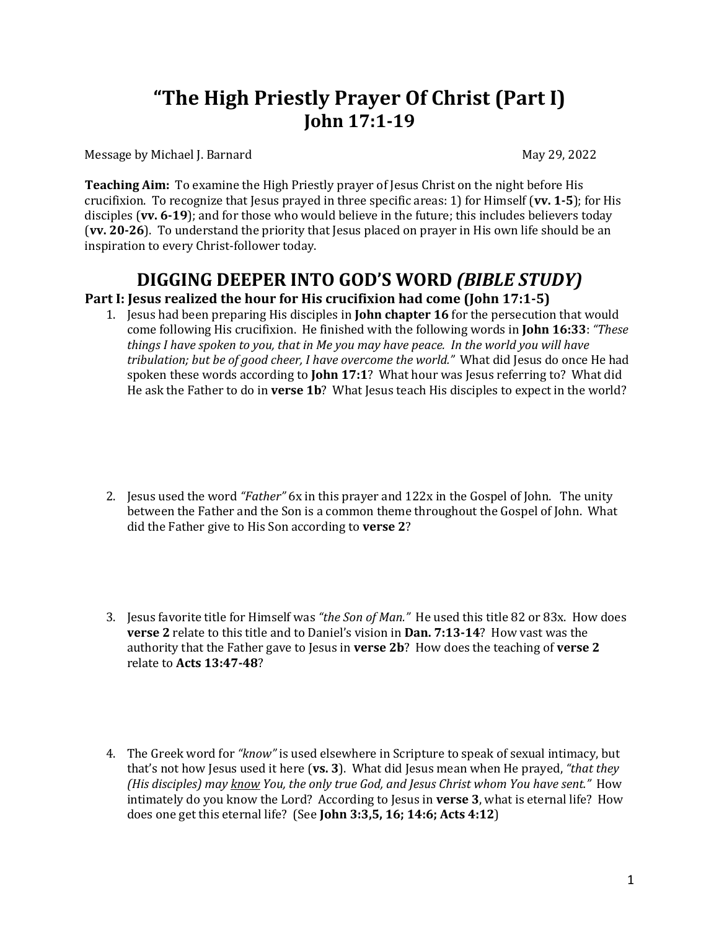# **"The High Priestly Prayer Of Christ (Part I) John 17:1-19**

Message by Michael J. Barnard **Xames and Solution Contract Contract Contract Contract Contract Contract Contract Contract Contract Contract Contract Contract Contract Contract Contract Contract Contract Contract Contract C** 

**Teaching Aim:** To examine the High Priestly prayer of Jesus Christ on the night before His crucifixion. To recognize that Jesus prayed in three specific areas: 1) for Himself (vv. 1-5); for His disciples (vv. 6-19); and for those who would believe in the future; this includes believers today **(vv. 20-26**). To understand the priority that Jesus placed on prayer in His own life should be an inspiration to every Christ-follower today.

## **DIGGING DEEPER INTO GOD'S WORD** *(BIBLE STUDY)* **Part I: Jesus realized the hour for His crucifixion had come (John 17:1-5)**

- 1. Jesus had been preparing His disciples in **John chapter 16** for the persecution that would come following His crucifixion. He finished with the following words in **John 16:33**: "These *things I have spoken to you, that in Me you may have peace. In the world you will have* tribulation; but be of good cheer, I have overcome the world." What did Jesus do once He had
	- spoken these words according to **John 17:1**? What hour was Jesus referring to? What did He ask the Father to do in **verse 1b**? What Jesus teach His disciples to expect in the world?
- 2. Jesus used the word "*Father*" 6x in this prayer and 122x in the Gospel of John. The unity between the Father and the Son is a common theme throughout the Gospel of John. What did the Father give to His Son according to **verse 2**?
- 3. Jesus favorite title for Himself was "the Son of Man." He used this title 82 or 83x. How does **verse 2** relate to this title and to Daniel's vision in **Dan.** 7:13-14? How vast was the authority that the Father gave to Jesus in **verse 2b**? How does the teaching of **verse 2** relate to **Acts 13:47-48**?
- 4. The Greek word for *"know"* is used elsewhere in Scripture to speak of sexual intimacy, but that's not how Jesus used it here (vs. 3). What did Jesus mean when He prayed, "that they *(His disciples)* may know You, the only true God, and Jesus Christ whom You have sent." How intimately do you know the Lord? According to Jesus in **verse 3**, what is eternal life? How does one get this eternal life? (See **John 3:3,5, 16; 14:6; Acts 4:12**)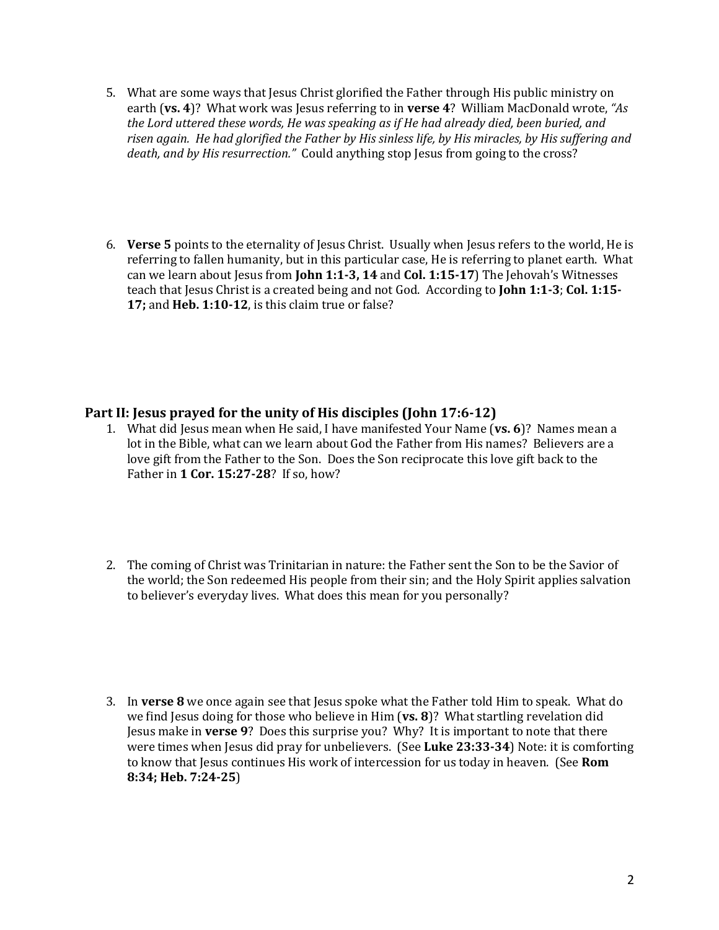- 5. What are some ways that Jesus Christ glorified the Father through His public ministry on earth (vs. 4)? What work was lesus referring to in verse 4? William MacDonald wrote, "As the Lord uttered these words, He was speaking as if He had already died, been buried, and risen again. He had glorified the Father by His sinless life, by His miracles, by His suffering and *death, and by His resurrection.*" Could anything stop Jesus from going to the cross?
- 6. Verse 5 points to the eternality of Jesus Christ. Usually when Jesus refers to the world, He is referring to fallen humanity, but in this particular case, He is referring to planet earth. What can we learn about Jesus from **John 1:1-3, 14** and **Col. 1:15-17**) The Jehovah's Witnesses teach that Jesus Christ is a created being and not God. According to John 1:1-3; Col. 1:15-**17; and Heb. 1:10-12**, is this claim true or false?

#### **Part II: Jesus prayed for the unity of His disciples (John 17:6-12)**

- 1. What did Jesus mean when He said, I have manifested Your Name (vs. 6)? Names mean a lot in the Bible, what can we learn about God the Father from His names? Believers are a love gift from the Father to the Son. Does the Son reciprocate this love gift back to the Father in 1 Cor. 15:27-28? If so, how?
- 2. The coming of Christ was Trinitarian in nature: the Father sent the Son to be the Savior of the world; the Son redeemed His people from their sin; and the Holy Spirit applies salvation to believer's everyday lives. What does this mean for you personally?
- 3. In **verse 8** we once again see that Jesus spoke what the Father told Him to speak. What do we find Jesus doing for those who believe in Him (vs. 8)? What startling revelation did Jesus make in **verse 9**? Does this surprise you? Why? It is important to note that there were times when Jesus did pray for unbelievers. (See Luke 23:33-34) Note: it is comforting to know that Jesus continues His work of intercession for us today in heaven. (See Rom **8:34; Heb. 7:24-25**)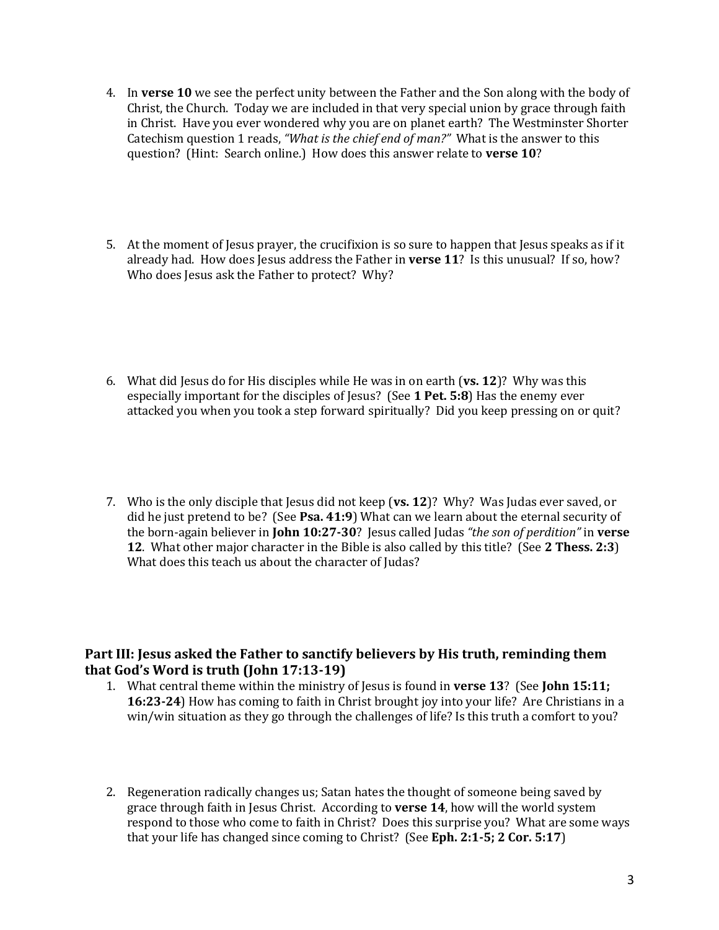- 4. In **verse 10** we see the perfect unity between the Father and the Son along with the body of Christ, the Church. Today we are included in that very special union by grace through faith in Christ. Have you ever wondered why you are on planet earth? The Westminster Shorter Catechism question 1 reads, "What is the chief end of man?" What is the answer to this question? (Hint: Search online.) How does this answer relate to verse 10?
- 5. At the moment of Jesus prayer, the crucifixion is so sure to happen that Jesus speaks as if it already had. How does Jesus address the Father in **verse 11**? Is this unusual? If so, how? Who does Jesus ask the Father to protect? Why?
- 6. What did Jesus do for His disciples while He was in on earth ( $v_s$ , 12)? Why was this especially important for the disciples of Jesus? (See 1 Pet. 5:8) Has the enemy ever attacked you when you took a step forward spiritually? Did you keep pressing on or quit?
- 7. Who is the only disciple that Jesus did not keep (vs. 12)? Why? Was Judas ever saved, or did he just pretend to be? (See Psa. 41:9) What can we learn about the eternal security of the born-again believer in **John 10:27-30**? Jesus called Judas "the son of perdition" in **verse 12.** What other major character in the Bible is also called by this title? (See 2 Thess. 2:3) What does this teach us about the character of Judas?

#### **Part III: Jesus asked the Father to sanctify believers by His truth, reminding them that God's Word is truth (John 17:13-19)**

- 1. What central theme within the ministry of Jesus is found in **verse 13**? (See **John 15:11; 16:23-24**) How has coming to faith in Christ brought joy into your life? Are Christians in a win/win situation as they go through the challenges of life? Is this truth a comfort to you?
- 2. Regeneration radically changes us; Satan hates the thought of someone being saved by grace through faith in Jesus Christ. According to verse 14, how will the world system respond to those who come to faith in Christ? Does this surprise you? What are some ways that your life has changed since coming to Christ? (See Eph. 2:1-5; 2 Cor. 5:17)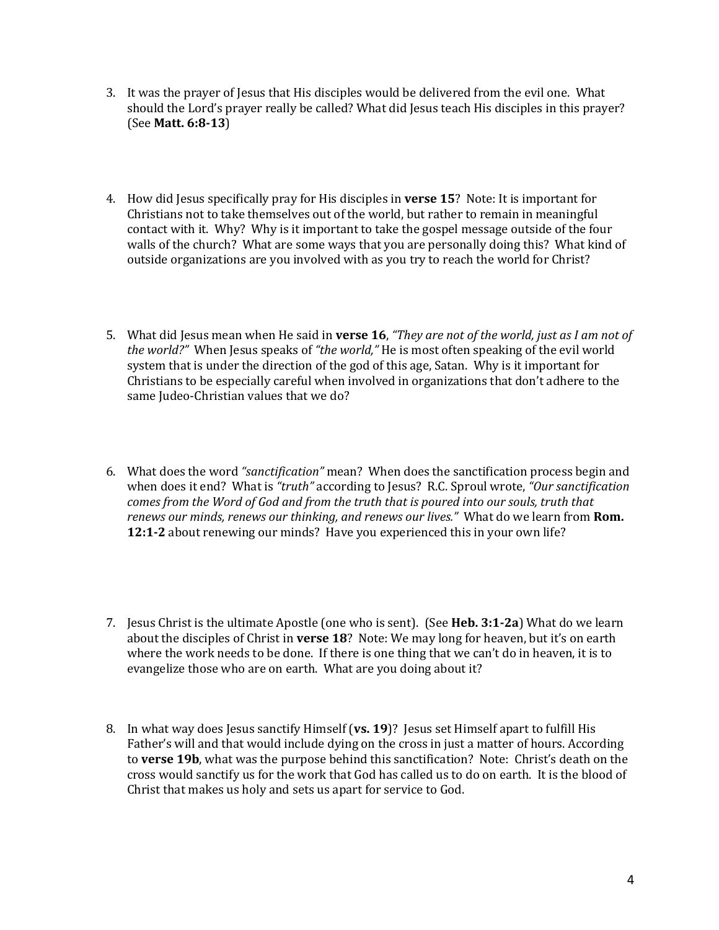- 3. It was the prayer of Jesus that His disciples would be delivered from the evil one. What should the Lord's prayer really be called? What did Jesus teach His disciples in this prayer? (See **Matt. 6:8-13**)
- 4. How did Jesus specifically pray for His disciples in **verse 15**? Note: It is important for Christians not to take themselves out of the world, but rather to remain in meaningful contact with it. Why? Why is it important to take the gospel message outside of the four walls of the church? What are some ways that you are personally doing this? What kind of outside organizations are you involved with as you try to reach the world for Christ?
- 5. What did Jesus mean when He said in verse 16, "They are not of the world, just as I am not of *the world?"* When Jesus speaks of "the world," He is most often speaking of the evil world system that is under the direction of the god of this age, Satan. Why is it important for Christians to be especially careful when involved in organizations that don't adhere to the same Judeo-Christian values that we do?
- 6. What does the word "sanctification" mean? When does the sanctification process begin and when does it end? What is "truth" according to Jesus? R.C. Sproul wrote, "Our sanctification *comes from the Word of God and from the truth that is poured into our souls, truth that renews our minds, renews our thinking, and renews our lives."* What do we learn from **Rom. 12:1-2** about renewing our minds? Have you experienced this in your own life?
- 7. Jesus Christ is the ultimate Apostle (one who is sent). (See **Heb. 3:1-2a**) What do we learn about the disciples of Christ in verse 18? Note: We may long for heaven, but it's on earth where the work needs to be done. If there is one thing that we can't do in heaven, it is to evangelize those who are on earth. What are you doing about it?
- 8. In what way does Jesus sanctify Himself (vs. 19)? Jesus set Himself apart to fulfill His Father's will and that would include dying on the cross in just a matter of hours. According to **verse 19b**, what was the purpose behind this sanctification? Note: Christ's death on the cross would sanctify us for the work that God has called us to do on earth. It is the blood of Christ that makes us holy and sets us apart for service to God.